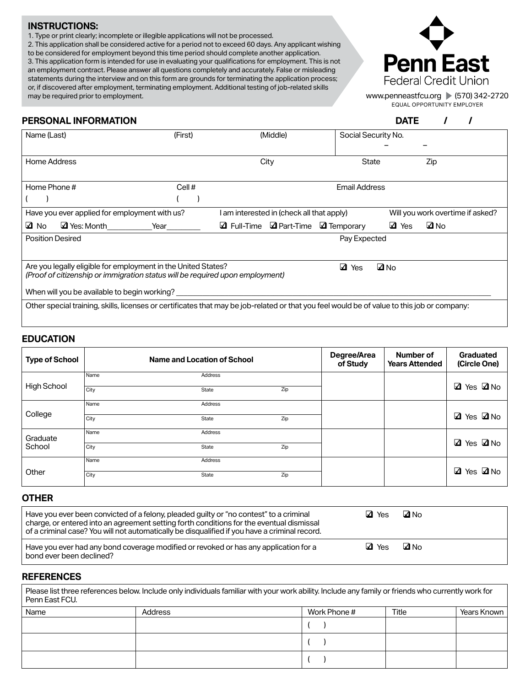#### **INSTRUCTIONS:**

1. Type or print clearly; incomplete or illegible applications will not be processed.

2. This application shall be considered active for a period not to exceed 60 days. Any applicant wishing to be considered for employment beyond this time period should complete another application. 3. This application form is intended for use in evaluating your qualifications for employment. This is not an employment contract. Please answer all questions completely and accurately. False or misleading statements during the interview and on this form are grounds for terminating the application process;

or, if discovered after employment, terminating employment. Additional testing of job-related skills may be required prior to employment.



www.penneastfcu.org (570) 342-2720 EQUAL OPPORTUNITY EMPLOYER

## **PERSONAL INFORMATION DATE / /**

| Name (Last)                                                                            | (First) | (Middle)                                           | Social Security No.  |            |                                  |
|----------------------------------------------------------------------------------------|---------|----------------------------------------------------|----------------------|------------|----------------------------------|
|                                                                                        |         |                                                    |                      |            |                                  |
| Home Address                                                                           |         | City                                               | <b>State</b>         |            | Zip                              |
|                                                                                        |         |                                                    |                      |            |                                  |
| Home Phone #                                                                           | Cell#   |                                                    | <b>Email Address</b> |            |                                  |
|                                                                                        |         |                                                    |                      |            |                                  |
| Have you ever applied for employment with us?                                          |         | l am interested in (check all that apply)          |                      |            | Will you work overtime if asked? |
| M No<br><b>△</b> Yes: Month<br>Year                                                    |         | $\Box$ Full-Time $\Box$ Part-Time $\Box$ Temporary |                      | $\Box$ Yes | M No                             |
| <b>Position Desired</b>                                                                |         |                                                    | Pay Expected         |            |                                  |
|                                                                                        |         |                                                    |                      |            |                                  |
| Are you legally eligible for employment in the United States?<br>$\Box$ No<br>☑<br>Yes |         |                                                    |                      |            |                                  |
| (Proof of citizenship or immigration status will be required upon employment)          |         |                                                    |                      |            |                                  |
| When will you be available to begin working?                                           |         |                                                    |                      |            |                                  |

Other special training, skills, licenses or certificates that may be job-related or that you feel would be of value to this job or company:

#### **EDUCATION**

| <b>Type of School</b> |      | Name and Location of School |     | Degree/Area<br>of Study | Number of<br><b>Years Attended</b> | <b>Graduated</b><br>(Circle One) |
|-----------------------|------|-----------------------------|-----|-------------------------|------------------------------------|----------------------------------|
|                       | Name | Address                     |     |                         |                                    |                                  |
| High School           | City | <b>State</b>                | Zip |                         |                                    | <b>Ø</b> Yes Øl No               |
|                       | Name | Address                     |     |                         |                                    |                                  |
| College               | City | <b>State</b>                | Zip |                         |                                    | <b>Ø</b> Yes Øl No               |
| Graduate              | Name | Address                     |     |                         |                                    |                                  |
| School                | City | <b>State</b>                | Zip |                         |                                    | <b>Ø</b> Yes ØI No               |
| Other                 | Name | Address                     |     |                         |                                    |                                  |
|                       | City | <b>State</b>                | Zip |                         |                                    | <b>Ø</b> Yes ØI No               |

#### **OTHER**

| Have you ever been convicted of a felony, pleaded guilty or "no contest" to a criminal<br>charge, or entered into an agreement setting forth conditions for the eventual dismissal<br>of a criminal case? You will not automatically be disqualified if you have a criminal record. | $\Delta$ Yes | ⊠Νο |
|-------------------------------------------------------------------------------------------------------------------------------------------------------------------------------------------------------------------------------------------------------------------------------------|--------------|-----|
| Have you ever had any bond coverage modified or revoked or has any application for a<br>bond ever been declined?                                                                                                                                                                    | $\Delta$ Yes | ⊠Νο |

#### **REFERENCES**

Please list three references below. Include only individuals familiar with your work ability. Include any family or friends who currently work for Penn East FCU.

| Name | Address | Work Phone # | Title | Years Known |
|------|---------|--------------|-------|-------------|
|      |         |              |       |             |
|      |         |              |       |             |
|      |         |              |       |             |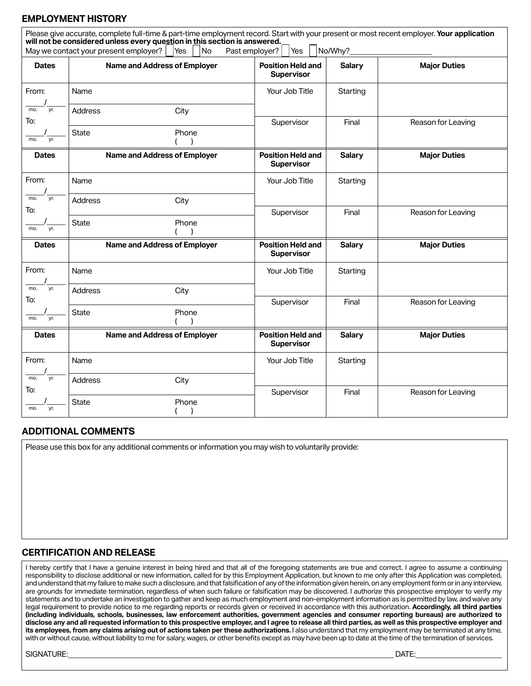### **EMPLOYMENT HISTORY**

| Please give accurate, complete full-time & part-time employment record. Start with your present or most recent employer. Your application<br>will not be considered unless every question in this section is answered.<br>Past employer?<br>No/Why?<br>May we contact your present employer?<br>Yes<br><b>No</b><br>Yes |                              |                                               |               |                     |
|-------------------------------------------------------------------------------------------------------------------------------------------------------------------------------------------------------------------------------------------------------------------------------------------------------------------------|------------------------------|-----------------------------------------------|---------------|---------------------|
| <b>Dates</b>                                                                                                                                                                                                                                                                                                            | Name and Address of Employer | <b>Position Held and</b><br><b>Supervisor</b> | <b>Salary</b> | <b>Major Duties</b> |
| From:                                                                                                                                                                                                                                                                                                                   | Name                         | Your Job Title                                | Starting      |                     |
| mo.<br>yr.<br>To:                                                                                                                                                                                                                                                                                                       | <b>Address</b><br>City       | Supervisor                                    | Final         | Reason for Leaving  |
| yr.<br>mo.                                                                                                                                                                                                                                                                                                              | <b>State</b><br>Phone        |                                               |               |                     |
| <b>Dates</b>                                                                                                                                                                                                                                                                                                            | Name and Address of Employer | <b>Position Held and</b><br><b>Supervisor</b> | <b>Salary</b> | <b>Major Duties</b> |
| From:                                                                                                                                                                                                                                                                                                                   | Name                         | Your Job Title                                | Starting      |                     |
| mo.<br>yr.<br>To:                                                                                                                                                                                                                                                                                                       | <b>Address</b><br>City       | Supervisor                                    | Final         | Reason for Leaving  |
| mo.<br>yr.                                                                                                                                                                                                                                                                                                              | <b>State</b><br>Phone        | $\lambda$                                     |               |                     |
| <b>Dates</b>                                                                                                                                                                                                                                                                                                            | Name and Address of Employer | <b>Position Held and</b><br><b>Supervisor</b> | <b>Salary</b> | <b>Major Duties</b> |
| From:                                                                                                                                                                                                                                                                                                                   | Name                         | Your Job Title                                |               |                     |
|                                                                                                                                                                                                                                                                                                                         |                              |                                               | Starting      |                     |
| mo.<br>yr.<br>To:                                                                                                                                                                                                                                                                                                       | <b>Address</b><br>City       |                                               |               |                     |
| yr.<br>mo.                                                                                                                                                                                                                                                                                                              | <b>State</b><br>Phone        | Supervisor                                    | Final         | Reason for Leaving  |
| <b>Dates</b>                                                                                                                                                                                                                                                                                                            | Name and Address of Employer | <b>Position Held and</b><br><b>Supervisor</b> | <b>Salary</b> | <b>Major Duties</b> |
| From:                                                                                                                                                                                                                                                                                                                   | Name                         | Your Job Title                                | Starting      |                     |
| mo.<br>yr.<br>To:                                                                                                                                                                                                                                                                                                       | <b>Address</b><br>City       | Supervisor                                    | Final         | Reason for Leaving  |

#### **ADDITIONAL COMMENTS**

Please use this box for any additional comments or information you may wish to voluntarily provide:

#### **CERTIFICATION AND RELEASE**

I hereby certify that I have a genuine interest in being hired and that all of the foregoing statements are true and correct. I agree to assume a continuing responsibility to disclose additional or new information, called for by this Employment Application, but known to me only after this Application was completed, and understand that my failure to make such a disclosure, and that falsification of any of the information given herein, on any employment form or in any interview, are grounds for immediate termination, regardless of when such failure or falsification may be discovered. I authorize this prospective employer to verify my statements and to undertake an investigation to gather and keep as much employment and non-employment information as is permitted by law, and waive any legal requirement to provide notice to me regarding reports or records given or received in accordance with this authorization. **Accordingly, all third parties (including individuals, schools, businesses, law enforcement authorities, government agencies and consumer reporting bureaus) are authorized to disclose any and all requested information to this prospective employer, and I agree to release all third parties, as well as this prospective employer and its employees, from any claims arising out of actions taken per these authorizations.** I also understand that my employment may be terminated at any time, with or without cause, without liability to me for salary, wages, or other benefits except as may have been up to date at the time of the termination of services.

SIGNATURE:\_\_\_\_\_\_\_\_\_\_\_\_\_\_\_\_\_\_\_\_\_\_\_\_\_\_\_\_\_\_\_\_\_\_\_\_\_\_\_\_\_\_\_\_\_\_\_\_\_\_\_\_\_\_\_\_\_\_\_\_\_\_\_\_\_\_\_\_\_\_\_\_\_\_\_\_\_\_\_\_\_\_\_\_\_\_\_ DATE:\_\_\_\_\_\_\_\_\_\_\_\_\_\_\_\_\_\_\_\_\_\_\_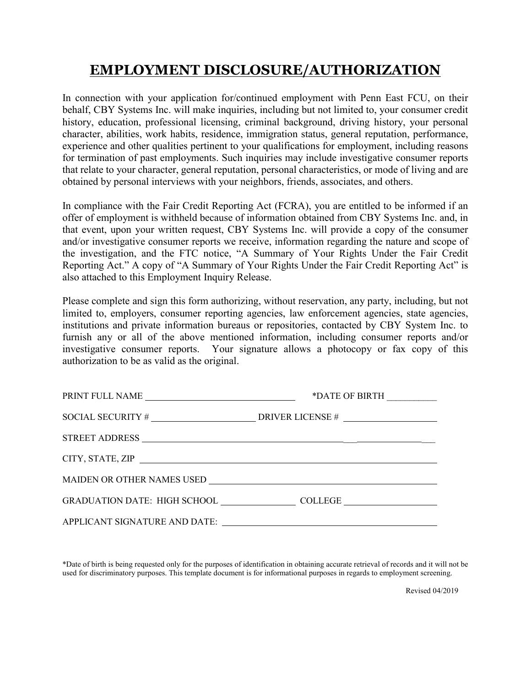# **EMPLOYMENT DISCLOSURE/AUTHORIZATION**

In connection with your application for/continued employment with Penn East FCU, on their behalf, CBY Systems Inc. will make inquiries, including but not limited to, your consumer credit history, education, professional licensing, criminal background, driving history, your personal character, abilities, work habits, residence, immigration status, general reputation, performance, experience and other qualities pertinent to your qualifications for employment, including reasons for termination of past employments. Such inquiries may include investigative consumer reports that relate to your character, general reputation, personal characteristics, or mode of living and are obtained by personal interviews with your neighbors, friends, associates, and others.

In compliance with the Fair Credit Reporting Act (FCRA), you are entitled to be informed if an offer of employment is withheld because of information obtained from CBY Systems Inc. and, in that event, upon your written request, CBY Systems Inc. will provide a copy of the consumer and/or investigative consumer reports we receive, information regarding the nature and scope of the investigation, and the FTC notice, "A Summary of Your Rights Under the Fair Credit Reporting Act." A copy of "A Summary of Your Rights Under the Fair Credit Reporting Act" is also attached to this Employment Inquiry Release.

Please complete and sign this form authorizing, without reservation, any party, including, but not limited to, employers, consumer reporting agencies, law enforcement agencies, state agencies, institutions and private information bureaus or repositories, contacted by CBY System Inc. to furnish any or all of the above mentioned information, including consumer reports and/or investigative consumer reports. Your signature allows a photocopy or fax copy of this authorization to be as valid as the original.

|                               | *DATE OF BIRTH   |
|-------------------------------|------------------|
|                               | DRIVER LICENSE # |
| STREET ADDRESS                |                  |
|                               |                  |
| MAIDEN OR OTHER NAMES USED    |                  |
| GRADUATION DATE: HIGH SCHOOL  | COLLEGE          |
| APPLICANT SIGNATURE AND DATE: |                  |

\*Date of birth is being requested only for the purposes of identification in obtaining accurate retrieval of records and it will not be used for discriminatory purposes. This template document is for informational purposes in regards to employment screening.

Revised 04/2019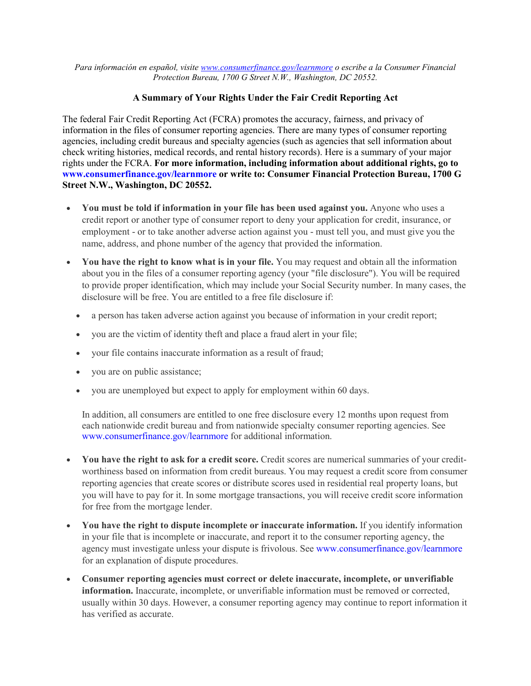*Para información en español, visite [www.consumerfinance.gov/learnmore](http://www.consumerfinance.gov/learnmore) o escribe a la Consumer Financial Protection Bureau, 1700 G Street N.W., Washington, DC 20552.*

#### **A Summary of Your Rights Under the Fair Credit Reporting Act**

The federal Fair Credit Reporting Act (FCRA) promotes the accuracy, fairness, and privacy of information in the files of consumer reporting agencies. There are many types of consumer reporting agencies, including credit bureaus and specialty agencies (such as agencies that sell information about check writing histories, medical records, and rental history records). Here is a summary of your major rights under the FCRA. **For more information, including information about additional rights, go to [www.consumerfinance.gov/learnmore](http://www.consumerfinance.gov/learnmore) or write to: Consumer Financial Protection Bureau, 1700 G Street N.W., Washington, DC 20552.**

- **You must be told if information in your file has been used against you.** Anyone who uses a credit report or another type of consumer report to deny your application for credit, insurance, or employment - or to take another adverse action against you - must tell you, and must give you the name, address, and phone number of the agency that provided the information.
- **You have the right to know what is in your file.** You may request and obtain all the information about you in the files of a consumer reporting agency (your "file disclosure"). You will be required to provide proper identification, which may include your Social Security number. In many cases, the disclosure will be free. You are entitled to a free file disclosure if:
	- a person has taken adverse action against you because of information in your credit report;
	- you are the victim of identity theft and place a fraud alert in your file;
	- your file contains inaccurate information as a result of fraud;
	- you are on public assistance;
	- you are unemployed but expect to apply for employment within 60 days.

In addition, all consumers are entitled to one free disclosure every 12 months upon request from each nationwide credit bureau and from nationwide specialty consumer reporting agencies. See [www.consumerfinance.gov/learnmore](http://www.consumerfinance.gov/learnmore) for additional information.

- **You have the right to ask for a credit score.** Credit scores are numerical summaries of your creditworthiness based on information from credit bureaus. You may request a credit score from consumer reporting agencies that create scores or distribute scores used in residential real property loans, but you will have to pay for it. In some mortgage transactions, you will receive credit score information for free from the mortgage lender.
- **You have the right to dispute incomplete or inaccurate information.** If you identify information in your file that is incomplete or inaccurate, and report it to the consumer reporting agency, the agency must investigate unless your dispute is frivolous. Se[e www.consumerfinance.gov/learnmore](http://www.consumerfinance.gov/learnmore) for an explanation of dispute procedures.
- **Consumer reporting agencies must correct or delete inaccurate, incomplete, or unverifiable information.** Inaccurate, incomplete, or unverifiable information must be removed or corrected, usually within 30 days. However, a consumer reporting agency may continue to report information it has verified as accurate.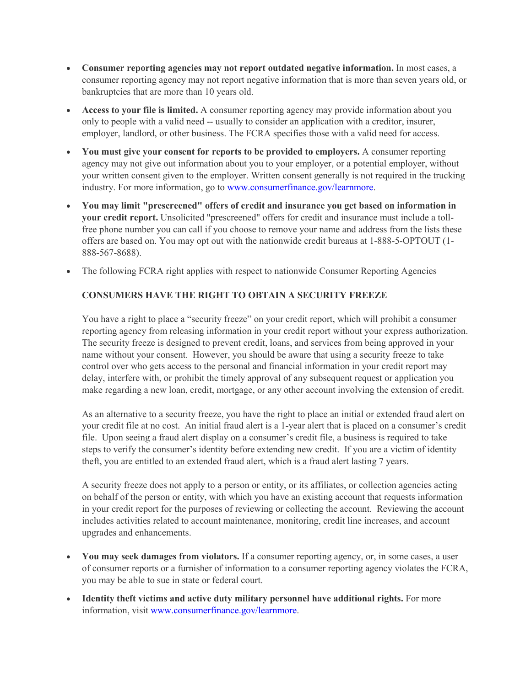- **Consumer reporting agencies may not report outdated negative information.** In most cases, a consumer reporting agency may not report negative information that is more than seven years old, or bankruptcies that are more than 10 years old.
- **Access to your file is limited.** A consumer reporting agency may provide information about you only to people with a valid need -- usually to consider an application with a creditor, insurer, employer, landlord, or other business. The FCRA specifies those with a valid need for access.
- **You must give your consent for reports to be provided to employers.** A consumer reporting agency may not give out information about you to your employer, or a potential employer, without your written consent given to the employer. Written consent generally is not required in the trucking industry. For more information, go to [www.consumerfinance.gov/learnmore.](http://www.consumerfinance.gov/learnmore)
- **You may limit "prescreened" offers of credit and insurance you get based on information in your credit report.** Unsolicited "prescreened" offers for credit and insurance must include a tollfree phone number you can call if you choose to remove your name and address from the lists these offers are based on. You may opt out with the nationwide credit bureaus at 1-888-5-OPTOUT (1- 888-567-8688).
- The following FCRA right applies with respect to nationwide Consumer Reporting Agencies

#### **CONSUMERS HAVE THE RIGHT TO OBTAIN A SECURITY FREEZE**

You have a right to place a "security freeze" on your credit report, which will prohibit a consumer reporting agency from releasing information in your credit report without your express authorization. The security freeze is designed to prevent credit, loans, and services from being approved in your name without your consent. However, you should be aware that using a security freeze to take control over who gets access to the personal and financial information in your credit report may delay, interfere with, or prohibit the timely approval of any subsequent request or application you make regarding a new loan, credit, mortgage, or any other account involving the extension of credit.

As an alternative to a security freeze, you have the right to place an initial or extended fraud alert on your credit file at no cost. An initial fraud alert is a 1-year alert that is placed on a consumer's credit file. Upon seeing a fraud alert display on a consumer's credit file, a business is required to take steps to verify the consumer's identity before extending new credit. If you are a victim of identity theft, you are entitled to an extended fraud alert, which is a fraud alert lasting 7 years.

A security freeze does not apply to a person or entity, or its affiliates, or collection agencies acting on behalf of the person or entity, with which you have an existing account that requests information in your credit report for the purposes of reviewing or collecting the account. Reviewing the account includes activities related to account maintenance, monitoring, credit line increases, and account upgrades and enhancements.

- **You may seek damages from violators.** If a consumer reporting agency, or, in some cases, a user of consumer reports or a furnisher of information to a consumer reporting agency violates the FCRA, you may be able to sue in state or federal court.
- **Identity theft victims and active duty military personnel have additional rights.** For more information, visi[t www.consumerfinance.gov/learnmore.](http://www.consumerfinance.gov/learnmore)